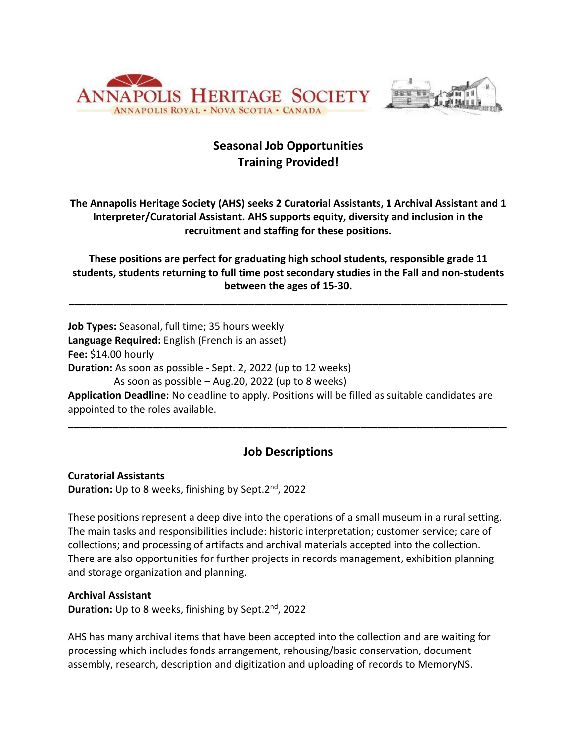



# **Seasonal Job Opportunities Training Provided!**

**The Annapolis Heritage Society (AHS) seeks 2 Curatorial Assistants, 1 Archival Assistant and 1 Interpreter/Curatorial Assistant. AHS supports equity, diversity and inclusion in the recruitment and staffing for these positions.**

**These positions are perfect for graduating high school students, responsible grade 11 students, students returning to full time post secondary studies in the Fall and non-students between the ages of 15-30.**

**\_\_\_\_\_\_\_\_\_\_\_\_\_\_\_\_\_\_\_\_\_\_\_\_\_\_\_\_\_\_\_\_\_\_\_\_\_\_\_\_\_\_\_\_\_\_\_\_\_\_\_\_\_\_\_\_\_\_\_\_\_\_\_\_\_\_\_\_\_\_\_\_\_\_\_\_\_\_**

**Job Types:** Seasonal, full time; 35 hours weekly **Language Required:** English (French is an asset) **Fee:** \$14.00 hourly **Duration:** As soon as possible - Sept. 2, 2022 (up to 12 weeks) As soon as possible – Aug.20, 2022 (up to 8 weeks)

**Application Deadline:** No deadline to apply. Positions will be filled as suitable candidates are appointed to the roles available.

### **Job Descriptions**

**\_\_\_\_\_\_\_\_\_\_\_\_\_\_\_\_\_\_\_\_\_\_\_\_\_\_\_\_\_\_\_\_\_\_\_\_\_\_\_\_\_\_\_\_\_\_\_\_\_\_\_\_\_\_\_\_\_\_\_\_\_\_\_\_\_\_\_\_\_\_\_\_\_\_\_\_\_\_**

**Curatorial Assistants Duration:** Up to 8 weeks, finishing by Sept.2nd , 2022

These positions represent a deep dive into the operations of a small museum in a rural setting. The main tasks and responsibilities include: historic interpretation; customer service; care of collections; and processing of artifacts and archival materials accepted into the collection. There are also opportunities for further projects in records management, exhibition planning and storage organization and planning.

#### **Archival Assistant**

**Duration:** Up to 8 weeks, finishing by Sept.2nd , 2022

AHS has many archival items that have been accepted into the collection and are waiting for processing which includes fonds arrangement, rehousing/basic conservation, document assembly, research, description and digitization and uploading of records to MemoryNS.